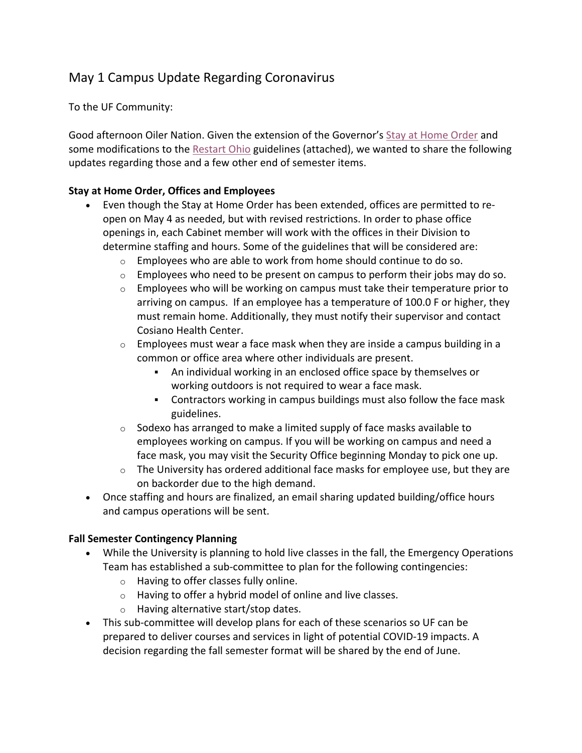## May 1 Campus Update Regarding Coronavirus

To the UF Community:

Good afternoon Oiler Nation. Given the extension of the Governor's Stay at Home Order and some modifications to the Restart Ohio guidelines (attached), we wanted to share the following updates regarding those and a few other end of semester items.

## **Stay at Home Order, Offices and Employees**

- Even though the Stay at Home Order has been extended, offices are permitted to reopen on May 4 as needed, but with revised restrictions. In order to phase office openings in, each Cabinet member will work with the offices in their Division to determine staffing and hours. Some of the guidelines that will be considered are:
	- o Employees who are able to work from home should continue to do so.
	- $\circ$  Employees who need to be present on campus to perform their jobs may do so.
	- $\circ$  Employees who will be working on campus must take their temperature prior to arriving on campus. If an employee has a temperature of 100.0 F or higher, they must remain home. Additionally, they must notify their supervisor and contact Cosiano Health Center.
	- $\circ$  Employees must wear a face mask when they are inside a campus building in a common or office area where other individuals are present.
		- § An individual working in an enclosed office space by themselves or working outdoors is not required to wear a face mask.
		- § Contractors working in campus buildings must also follow the face mask guidelines.
	- o Sodexo has arranged to make a limited supply of face masks available to employees working on campus. If you will be working on campus and need a face mask, you may visit the Security Office beginning Monday to pick one up.
	- $\circ$  The University has ordered additional face masks for employee use, but they are on backorder due to the high demand.
- Once staffing and hours are finalized, an email sharing updated building/office hours and campus operations will be sent.

## **Fall Semester Contingency Planning**

- While the University is planning to hold live classes in the fall, the Emergency Operations Team has established a sub-committee to plan for the following contingencies:
	- o Having to offer classes fully online.
	- o Having to offer a hybrid model of online and live classes.
	- o Having alternative start/stop dates.
- This sub-committee will develop plans for each of these scenarios so UF can be prepared to deliver courses and services in light of potential COVID-19 impacts. A decision regarding the fall semester format will be shared by the end of June.